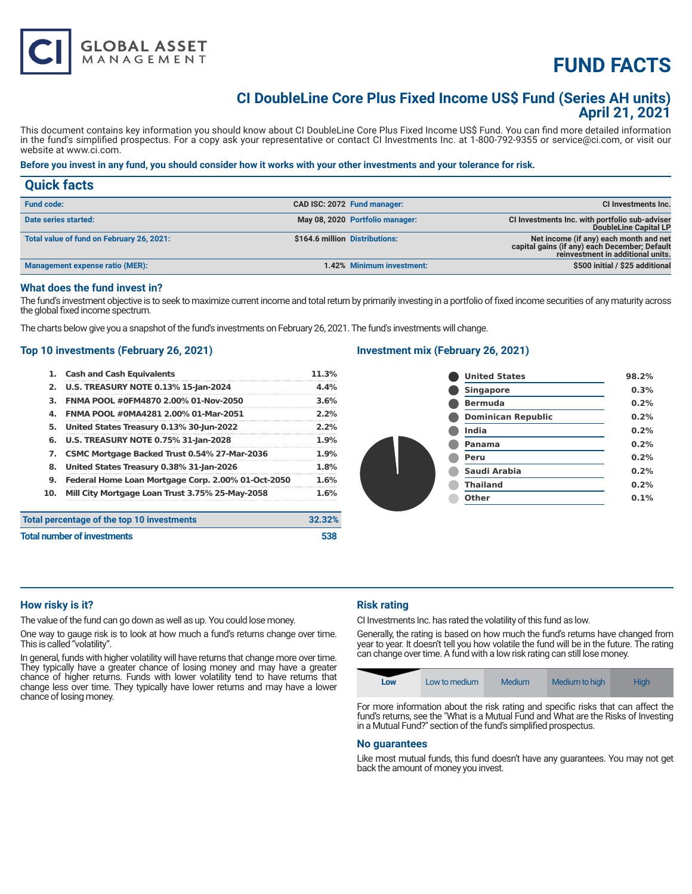

# **CI DoubleLine Core Plus Fixed Income US\$ Fund (Series AH units) April 21, 2021**

This document contains key information you should know about CI DoubleLine Core Plus Fixed Income US\$ Fund. You can find more detailed information in the fund's simplified prospectus. For a copy ask your representative or contact CI Investments Inc. at 1-800-792-9355 or service@ci.com, or visit our website at www.ci.com.

# **Before you invest in any fund, you should consider how it works with your other investments and your tolerance for risk.**

| <b>Quick facts</b>                        |                                 |                                                                                                                              |
|-------------------------------------------|---------------------------------|------------------------------------------------------------------------------------------------------------------------------|
| <b>Fund code:</b>                         | CAD ISC: 2072 Fund manager:     | CI Investments Inc.                                                                                                          |
| Date series started:                      | May 08, 2020 Portfolio manager: | CI Investments Inc. with portfolio sub-adviser<br>DoubleLine Capital LP                                                      |
| Total value of fund on February 26, 2021: | \$164.6 million Distributions:  | Net income (if any) each month and net<br>capital gains (if any) each December; Default<br>reinvestment in additional units. |
| Management expense ratio (MER):           | 1.42% Minimum investment:       | \$500 initial / \$25 additional                                                                                              |

#### **What does the fund invest in?**

The fund's investment objective is to seek to maximize current income and total return by primarily investing in a portfolio of fixed income securities of any maturity across the global fixed income spectrum.

The charts below give you a snapshot of the fund's investments on February 26, 2021. The fund's investments will change.

# **Top 10 investments (February 26, 2021)**

**GLOBAL ASSET**<br>MANAGEMENT

|     | 1. Cash and Cash Equivalents                       | 11.3%  |
|-----|----------------------------------------------------|--------|
|     | 2. U.S. TREASURY NOTE 0.13% 15-Jan-2024            | 4.4%   |
| З.  | FNMA POOL #0FM4870 2.00% 01-Nov-2050               | 3.6%   |
| 4.  | FNMA POOL #0MA4281 2.00% 01-Mar-2051               | 2.2%   |
| 5.  | United States Treasury 0.13% 30-Jun-2022           | 2.2%   |
|     | 6. U.S. TREASURY NOTE 0.75% 31-Jan-2028            | 1.9%   |
|     | 7. CSMC Mortgage Backed Trust 0.54% 27-Mar-2036    | 1.9%   |
| 8.  | United States Treasury 0.38% 31-Jan-2026           | 1.8%   |
| 9.  | Federal Home Loan Mortgage Corp. 2.00% 01-Oct-2050 | 1.6%   |
| 10. | Mill City Mortgage Loan Trust 3.75% 25-May-2058    | 1.6%   |
|     | Total percentage of the top 10 investments         | 32.32% |

## **Investment mix (February 26, 2021)**

| <b>United States</b>      | 98.2% |
|---------------------------|-------|
| <b>Singapore</b>          | 0.3%  |
| <b>Bermuda</b>            | 0.2%  |
| <b>Dominican Republic</b> | 0.2%  |
| <b>India</b>              | 0.2%  |
| Panama                    | 0.2%  |
| Peru                      | 0.2%  |
| Saudi Arabia              | 0.2%  |
| <b>Thailand</b>           | 0.2%  |
| <b>Other</b>              | 0.1%  |
|                           |       |

#### **How risky is it?**

The value of the fund can go down as well as up. You could lose money.

One way to gauge risk is to look at how much a fund's returns change over time. This is called "volatility".

**Total number of investments 538** 

In general, funds with higher volatility will have returns that change more over time. They typically have a greater chance of losing money and may have a greater chance of higher returns. Funds with lower volatility tend to have returns that change less over time. They typically have lower returns and may have a lower chance of losing money.

# **Risk rating**

CI Investments Inc. has rated the volatility of this fund as low.

Generally, the rating is based on how much the fund's returns have changed from year to year. It doesn't tell you how volatile the fund will be in the future. The rating can change over time. A fund with a low risk rating can still lose money.



For more information about the risk rating and specific risks that can affect the fund's returns, see the "What is a Mutual Fund and What are the Risks of Investing in a Mutual Fund?" section of the fund's simplified prospectus.

# **No guarantees**

Like most mutual funds, this fund doesn't have any guarantees. You may not get back the amount of money you invest.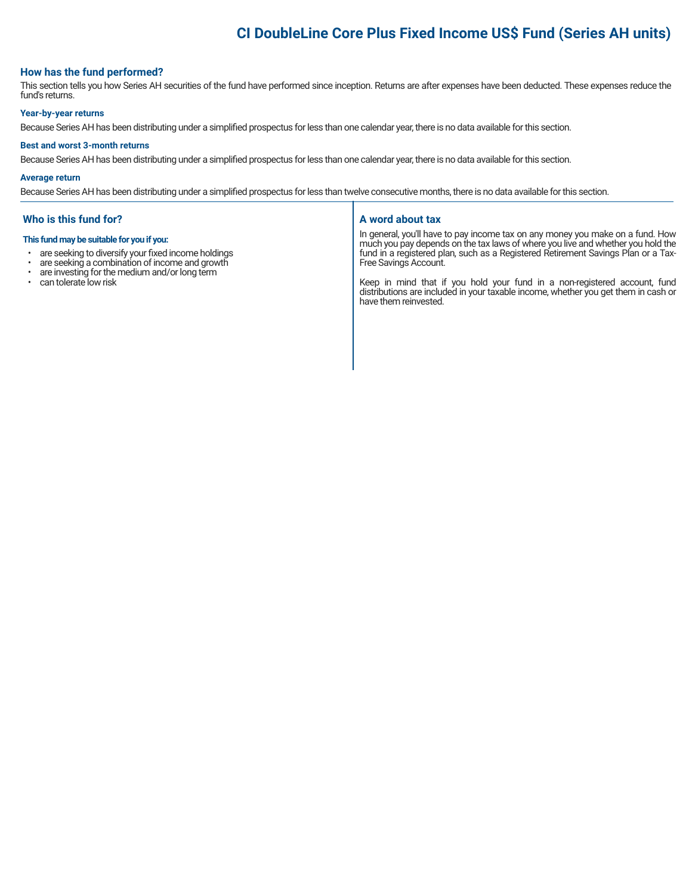# **CI DoubleLine Core Plus Fixed Income US\$ Fund (Series AH units)**

# **How has the fund performed?**

This section tells you how Series AH securities of the fund have performed since inception. Returns are after expenses have been deducted. These expenses reduce the fund's returns.

#### **Year-by-year returns**

Because Series AH has been distributing under a simplified prospectus for less than one calendar year, there is no data available for this section.

#### **Best and worst 3-month returns**

Because Series AH has been distributing under a simplified prospectus for less than one calendar year, there is no data available for this section.

#### **Average return**

Because Series AH has been distributing under a simplified prospectus for less than twelve consecutive months, there is no data available for this section.

# **Who is this fund for?**

#### **This fund may be suitable for you if you:**

- are seeking to diversify your fixed income holdings<br>• are seeking a combination of income and growth
- are seeking a combination of income and growth<br>• are investing for the medium and/or long term
- are investing for the medium and/or long term
- can tolerate low risk

#### **A word about tax**

In general, you'll have to pay income tax on any money you make on a fund. How much you pay depends on the tax laws of where you live and whether you hold the fund in a registered plan, such as a Registered Retirement Savings Plan or a Tax-Free Savings Account.

Keep in mind that if you hold your fund in a non-registered account, fund distributions are included in your taxable income, whether you get them in cash or have them reinvested.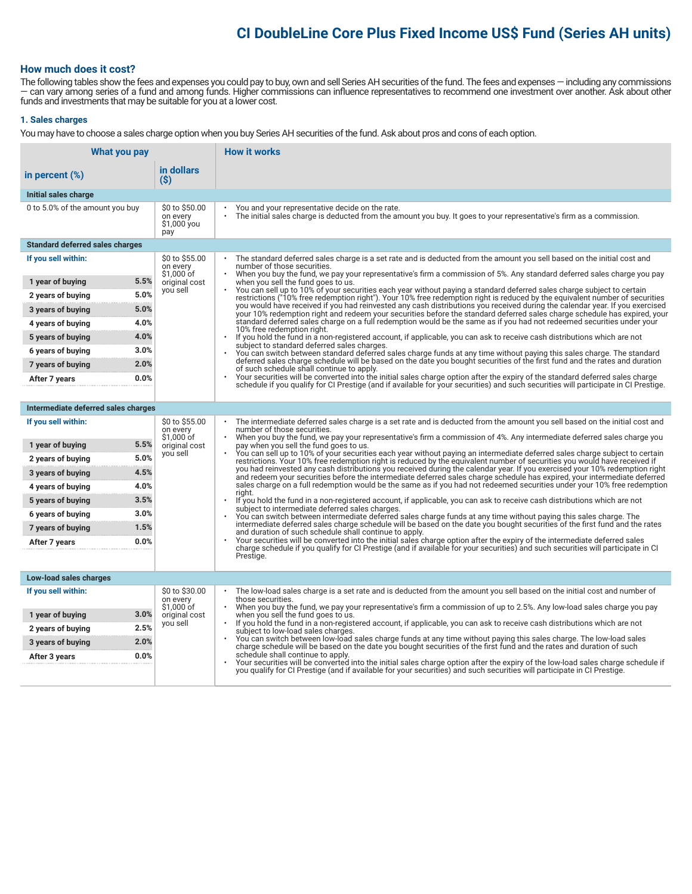# **CI DoubleLine Core Plus Fixed Income US\$ Fund (Series AH units)**

# **How much does it cost?**

The following tables show the fees and expenses you could pay to buy, own and sell Series AH securities of the fund. The fees and expenses — including any commissions — can vary among series of a fund and among funds. Higher commissions can influence representatives to recommend one investment over another. Ask about other funds and investments that may be suitable for you at a lower cost.

#### **1. Sales charges**

You may have to choose a sales charge option when you buy Series AH securities of the fund. Ask about pros and cons of each option.

| What you pay                           |                                                  | <b>How it works</b>                                                                                                                                                                                                                                                                   |  |  |
|----------------------------------------|--------------------------------------------------|---------------------------------------------------------------------------------------------------------------------------------------------------------------------------------------------------------------------------------------------------------------------------------------|--|--|
| in percent $(\%)$                      | in dollars<br>$($ \$)                            |                                                                                                                                                                                                                                                                                       |  |  |
| Initial sales charge                   |                                                  |                                                                                                                                                                                                                                                                                       |  |  |
| 0 to 5.0% of the amount you buy        | \$0 to \$50.00<br>on every<br>\$1,000 you<br>pay | You and your representative decide on the rate.<br>The initial sales charge is deducted from the amount you buy. It goes to your representative's firm as a commission.                                                                                                               |  |  |
| <b>Standard deferred sales charges</b> |                                                  |                                                                                                                                                                                                                                                                                       |  |  |
| If you sell within:                    | \$0 to \$55.00<br>on every<br>$$1,000$ of        | The standard deferred sales charge is a set rate and is deducted from the amount you sell based on the initial cost and<br>number of those securities.<br>When you buy the fund, we pay your representative's firm a commission of 5%. Any standard deferred sales charge you pay     |  |  |
| 5.5%<br>1 year of buying               | original cost<br>you sell                        | when you sell the fund goes to us.                                                                                                                                                                                                                                                    |  |  |
| 5.0%<br>2 years of buying              |                                                  | You can sell up to 10% of your securities each year without paying a standard deferred sales charge subject to certain<br>restrictions ("10% free redemption right"). Your 10% free redemption right is reduced by the equivalent number of securities                                |  |  |
| 5.0%<br>3 years of buying              |                                                  | you would have received if you had reinvested any cash distributions you received during the calendar year. If you exercised<br>your 10% redemption right and redeem your securities before the standard deferred sales charge schedule has expired, your                             |  |  |
| 4.0%<br>4 years of buying              |                                                  | standard deferred sales charge on a full redemption would be the same as if you had not redeemed securities under your<br>10% free redemption right.                                                                                                                                  |  |  |
| 4.0%<br>5 years of buying              |                                                  | If you hold the fund in a non-registered account, if applicable, you can ask to receive cash distributions which are not<br>$\bullet$<br>subject to standard deferred sales charges.                                                                                                  |  |  |
| 3.0%<br>6 years of buying              |                                                  | You can switch between standard deferred sales charge funds at any time without paving this sales charge. The standard                                                                                                                                                                |  |  |
| 2.0%<br>7 years of buying              |                                                  | deferred sales charge schedule will be based on the date you bought securities of the first fund and the rates and duration<br>of such schedule shall continue to apply.                                                                                                              |  |  |
| 0.0%<br>After 7 years                  |                                                  | Your securities will be converted into the initial sales charge option after the expiry of the standard deferred sales charge<br>schedule if you qualify for CI Prestige (and if available for your securities) and such securities will participate in CI Prestige.                  |  |  |
|                                        |                                                  |                                                                                                                                                                                                                                                                                       |  |  |
| Intermediate deferred sales charges    |                                                  |                                                                                                                                                                                                                                                                                       |  |  |
| If you sell within:                    | \$0 to \$55.00<br>on every<br>\$1.000 of         | The intermediate deferred sales charge is a set rate and is deducted from the amount you sell based on the initial cost and<br>number of those securities.<br>When you buy the fund, we pay your representative's firm a commission of 4%. Any intermediate deferred sales charge you |  |  |
| 5.5%<br>1 year of buying               | original cost                                    | pay when you sell the fund goes to us.<br>You can sell up to 10% of your securities each year without paying an intermediate deferred sales charge subject to certain                                                                                                                 |  |  |
| 5.0%<br>2 years of buying              | you sell                                         | restrictions. Your 10% free redemption right is reduced by the equivalent number of securities you would have received if                                                                                                                                                             |  |  |
| 4.5%<br>3 years of buying              |                                                  | you had reinvested any cash distributions you received during the calendar year. If you exercised your 10% redemption right<br>and redeem your securities before the intermediate deferred sales charge schedule has expired, your intermediate deferred                              |  |  |
| 4.0%<br>4 years of buying              |                                                  | sales charge on a full redemption would be the same as if you had not redeemed securities under your 10% free redemption<br>right.                                                                                                                                                    |  |  |
| 3.5%<br>5 years of buying              |                                                  | If you hold the fund in a non-registered account, if applicable, you can ask to receive cash distributions which are not<br>subject to intermediate deferred sales charges.                                                                                                           |  |  |
| 3.0%<br>6 years of buying              |                                                  | You can switch between intermediate deferred sales charge funds at any time without paying this sales charge. The                                                                                                                                                                     |  |  |
| 1.5%<br>7 years of buying              |                                                  | intermediate deferred sales charge schedule will be based on the date you bought securities of the first fund and the rates<br>and duration of such schedule shall continue to apply.                                                                                                 |  |  |
| 0.0%<br>After 7 years                  |                                                  | Your securities will be converted into the initial sales charge option after the expiry of the intermediate deferred sales<br>charge schedule if you qualify for CI Prestige (and if available for your securities) and such securities will participate in CI                        |  |  |
|                                        |                                                  | Prestige.                                                                                                                                                                                                                                                                             |  |  |
| Low-load sales charges                 |                                                  |                                                                                                                                                                                                                                                                                       |  |  |
| If you sell within:                    | \$0 to \$30.00<br>on every<br>$$1,000$ of        | The low-load sales charge is a set rate and is deducted from the amount you sell based on the initial cost and number of<br>those securities.<br>When you buy the fund, we pay your representative's firm a commission of up to 2.5%. Any low-load sales charge you pay               |  |  |
| 3.0%<br>1 year of buying               | original cost                                    | when you sell the fund goes to us.                                                                                                                                                                                                                                                    |  |  |
| 2.5%<br>2 years of buying              | you sell                                         | If you hold the fund in a non-registered account, if applicable, you can ask to receive cash distributions which are not<br>subject to low-load sales charges.                                                                                                                        |  |  |
| 2.0%<br>3 years of buying              |                                                  | You can switch between low-load sales charge funds at any time without paying this sales charge. The low-load sales<br>charge schedule will be based on the date you bought securities of the first fund and the rates and duration of such                                           |  |  |
| 0.0%<br>After 3 years                  |                                                  | schedule shall continue to apply.<br>Your securities will be converted into the initial sales charge option after the expiry of the low-load sales charge schedule if                                                                                                                 |  |  |
|                                        |                                                  | you qualify for CI Prestige (and if available for your securities) and such securities will participate in CI Prestige.                                                                                                                                                               |  |  |